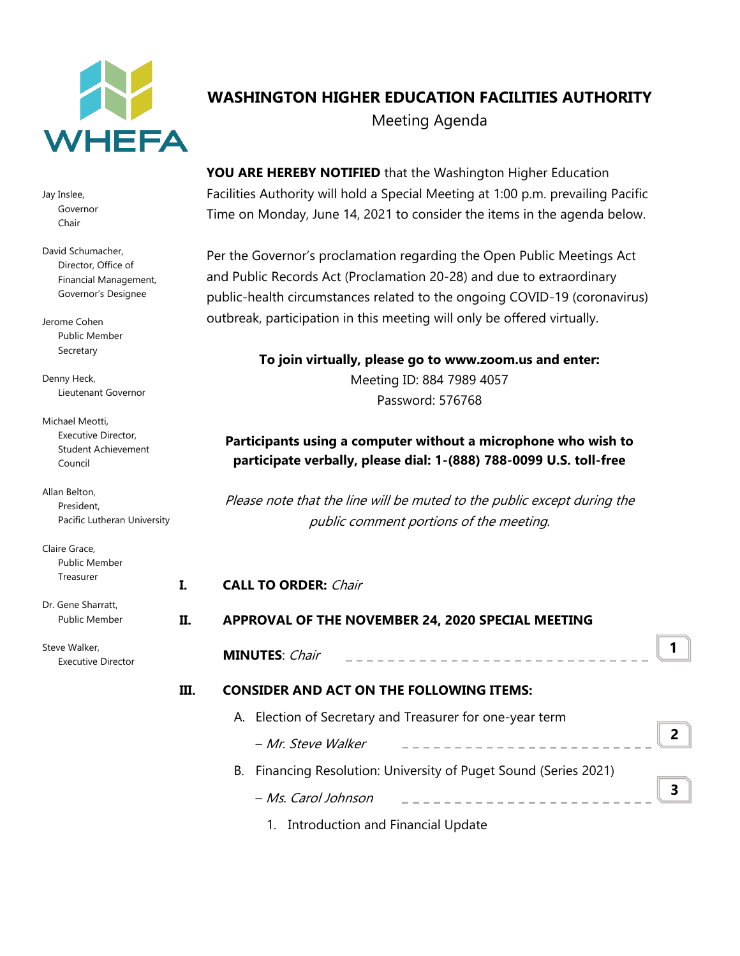

Jay Inslee, Governor Chair

David Schumacher, Director, Office of Financial Management, Governor's Designee

Jerome Cohen Public Member Secretary

Denny Heck, Lieutenant Governor

Michael Meotti, Executive Director, Student Achievement Council

Allan Belton, President, Pacific Lutheran University

Claire Grace, Public Member Treasurer Dr. Gene Sharratt,

Steve Walker, Executive Director

Public Member

# **WASHINGTON HIGHER EDUCATION FACILITIES AUTHORITY** Meeting Agenda

**YOU ARE HEREBY NOTIFIED** that the Washington Higher Education Facilities Authority will hold a Special Meeting at 1:00 p.m. prevailing Pacific Time on Monday, June 14, 2021 to consider the items in the agenda below.

Per the Governor's proclamation regarding the Open Public Meetings Act and Public Records Act (Proclamation 20-28) and due to extraordinary public-health circumstances related to the ongoing COVID-19 (coronavirus) outbreak, participation in this meeting will only be offered virtually.

## **To join virtually, please go to www.zoom.us and enter:** Meeting ID: 884 7989 4057 Password: 576768

### **Participants using a computer without a microphone who wish to participate verbally, please dial: 1-(888) 788-0099 U.S. toll-free**

Please note that the line will be muted to the public except during the public comment portions of the meeting.

|    | <b>CALL TO ORDER: Chair</b>                                      |                          |  |  |
|----|------------------------------------------------------------------|--------------------------|--|--|
| П. | APPROVAL OF THE NOVEMBER 24, 2020 SPECIAL MEETING                |                          |  |  |
|    | <b>MINUTES: Chair</b>                                            |                          |  |  |
| Ш. | <b>CONSIDER AND ACT ON THE FOLLOWING ITEMS:</b>                  |                          |  |  |
|    | A. Election of Secretary and Treasurer for one-year term         |                          |  |  |
|    | – Mr. Steve Walker                                               | $\overline{\phantom{a}}$ |  |  |
|    | B. Financing Resolution: University of Puget Sound (Series 2021) |                          |  |  |
|    | – Ms. Carol Johnson                                              | ર                        |  |  |

1. Introduction and Financial Update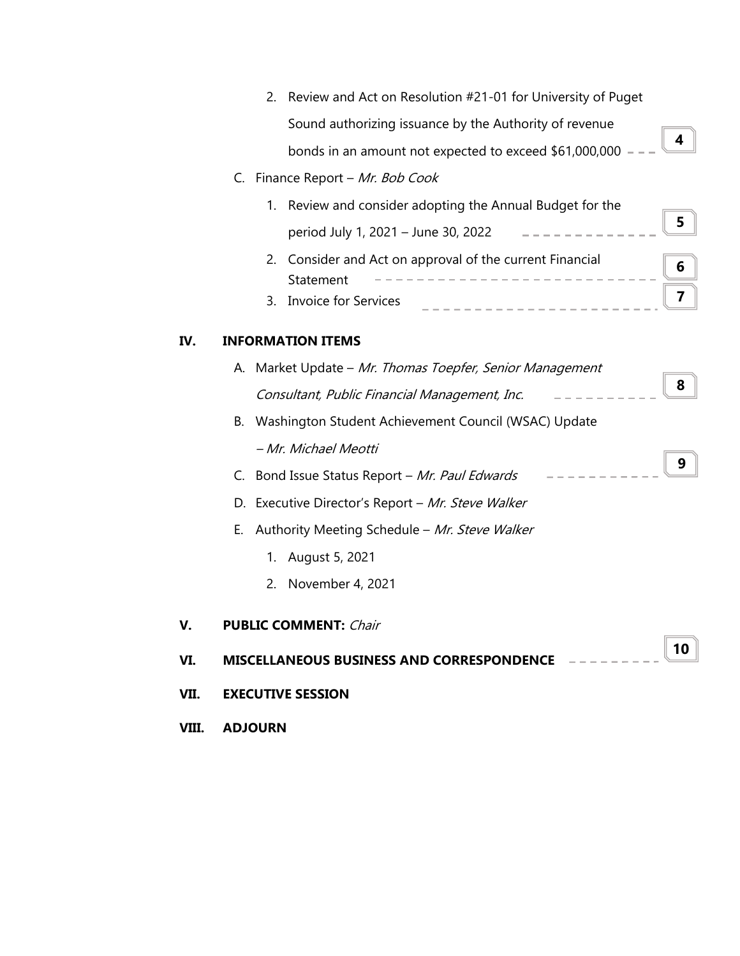|      |                                                 |             | 2. Review and Act on Resolution #21-01 for University of Puget     |                         |  |
|------|-------------------------------------------------|-------------|--------------------------------------------------------------------|-------------------------|--|
|      |                                                 |             | Sound authorizing issuance by the Authority of revenue             | 4                       |  |
|      |                                                 |             | bonds in an amount not expected to exceed \$61,000,000             |                         |  |
|      | C.                                              |             | Finance Report - Mr. Bob Cook                                      |                         |  |
|      |                                                 |             | 1. Review and consider adopting the Annual Budget for the          |                         |  |
|      |                                                 |             | period July 1, 2021 - June 30, 2022 - - - - - -                    | 5                       |  |
|      |                                                 | 2.          | Consider and Act on approval of the current Financial<br>Statement | 6                       |  |
|      |                                                 | 3.          | <b>Invoice for Services</b><br>. <u>.</u> .                        | $\overline{\mathbf{z}}$ |  |
| IV.  |                                                 |             | <b>INFORMATION ITEMS</b>                                           |                         |  |
|      |                                                 |             | A. Market Update - Mr. Thomas Toepfer, Senior Management           |                         |  |
|      |                                                 |             | Consultant, Public Financial Management, Inc.                      | 8                       |  |
|      | В.                                              |             | Washington Student Achievement Council (WSAC) Update               |                         |  |
|      |                                                 |             | - Mr. Michael Meotti                                               |                         |  |
|      | C.                                              |             | Bond Issue Status Report - Mr. Paul Edwards                        | 9                       |  |
|      |                                                 |             | D. Executive Director's Report - Mr. Steve Walker                  |                         |  |
|      | Е.                                              |             | Authority Meeting Schedule - Mr. Steve Walker                      |                         |  |
|      |                                                 | $1_{\cdot}$ | August 5, 2021                                                     |                         |  |
|      |                                                 | 2.          | November 4, 2021                                                   |                         |  |
| V.   |                                                 |             | <b>PUBLIC COMMENT: Chair</b>                                       |                         |  |
| VI.  | 10<br>MISCELLANEOUS BUSINESS AND CORRESPONDENCE |             |                                                                    |                         |  |
| VII. |                                                 |             | <b>EXECUTIVE SESSION</b>                                           |                         |  |
|      |                                                 |             |                                                                    |                         |  |

**VIII. ADJOURN**